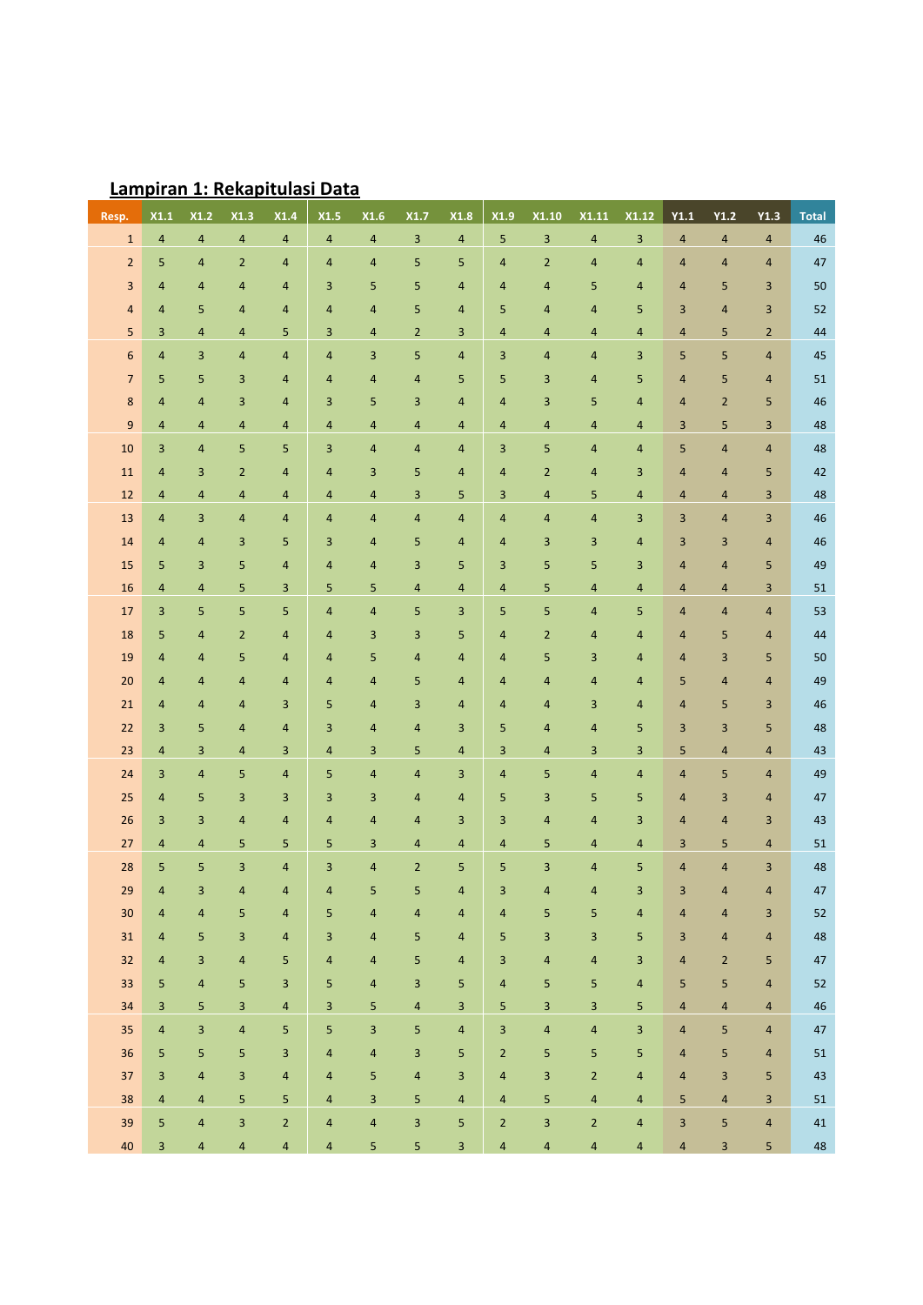| Resp.            | X1.1           | X1.2           | X1.3           | X1.4           | X1.5           | X1.6                    | X1.7                    | X1.8                    | X1.9                    | X1.10                   | X1.11                   | X1.12                   | Y1.1                    | Y1.2           | Y1.3                    | <b>Total</b> |
|------------------|----------------|----------------|----------------|----------------|----------------|-------------------------|-------------------------|-------------------------|-------------------------|-------------------------|-------------------------|-------------------------|-------------------------|----------------|-------------------------|--------------|
| $1\,$            | $\overline{4}$ | $\sqrt{4}$     | $\overline{a}$ | $\sqrt{4}$     | $\overline{4}$ | $\sqrt{4}$              | $\mathsf 3$             | $\overline{\mathbf{4}}$ | 5                       | $\overline{\mathbf{3}}$ | $\overline{\mathbf{4}}$ | $\mathsf 3$             | $\overline{a}$          | $\sqrt{4}$     | $\sqrt{4}$              | 46           |
| $\overline{2}$   | 5              | $\overline{4}$ | $\overline{2}$ | $\overline{4}$ | 4              | $\overline{4}$          | 5                       | 5                       | 4                       | $\overline{2}$          | 4                       | 4                       | 4                       | 4              | $\overline{4}$          | 47           |
| 3                | 4              | $\overline{a}$ | 4              | $\overline{4}$ | 3              | 5                       | 5                       | 4                       | 4                       | $\overline{\mathbf{4}}$ | 5                       | 4                       | $\overline{4}$          | 5              | 3                       | 50           |
| $\sqrt{4}$       | 4              | 5              | 4              | $\overline{4}$ | $\overline{4}$ | $\overline{4}$          | 5                       | 4                       | 5                       | 4                       | 4                       | 5                       | 3                       | 4              | 3                       | 52           |
| 5                | 3              | $\overline{4}$ | 4              | 5              | 3              | $\overline{4}$          | $\overline{2}$          | 3                       | 4                       | $\overline{a}$          | 4                       | $\overline{4}$          | 4                       | 5              | $\overline{2}$          | 44           |
| $\boldsymbol{6}$ | 4              | 3              | 4              | $\overline{4}$ | 4              | 3                       | 5                       | 4                       | 3                       | $\overline{a}$          | 4                       | 3                       | 5                       | 5              | $\overline{\mathbf{4}}$ | 45           |
| $\overline{7}$   | 5              | 5              | 3              | $\overline{a}$ | $\overline{4}$ | $\overline{4}$          | $\overline{\mathbf{4}}$ | 5                       | 5                       | $\overline{3}$          | 4                       | 5                       | $\overline{4}$          | 5              | $\overline{4}$          | 51           |
| 8                | 4              | $\overline{4}$ | 3              | $\overline{4}$ | 3              | 5                       | 3                       | 4                       | 4                       | 3                       | 5                       | 4                       | $\overline{4}$          | $\overline{2}$ | 5                       | 46           |
| $\boldsymbol{9}$ | $\overline{4}$ | $\overline{4}$ | 4              | $\overline{4}$ | $\overline{4}$ | $\overline{4}$          | $\overline{4}$          | 4                       | 4                       | 4                       | 4                       | 4                       | 3                       | 5              | $\overline{3}$          | 48           |
| 10               | 3              | $\overline{4}$ | 5              | 5              | 3              | $\overline{4}$          | $\overline{\mathbf{4}}$ | 4                       | 3                       | 5                       | 4                       | 4                       | 5                       | 4              | $\overline{\mathbf{4}}$ | 48           |
| 11               | 4              | 3              | $\overline{2}$ | $\overline{a}$ | 4              | 3                       | 5                       | 4                       | 4                       | $\overline{2}$          | 4                       | 3                       | $\overline{4}$          | 4              | 5                       | 42           |
| 12               | 4              | $\overline{4}$ | 4              | $\overline{4}$ | 4              | $\overline{\mathbf{4}}$ | $\overline{3}$          | 5                       | 3                       | 4                       | 5                       | $\overline{4}$          | $\overline{4}$          | 4              | 3                       | 48           |
| 13               | 4              | 3              | 4              | $\overline{4}$ | $\overline{4}$ | 4                       | $\overline{4}$          | 4                       | 4                       | 4                       | 4                       | 3                       | 3                       | 4              | 3                       | 46           |
| 14               | 4              | $\overline{4}$ | 3              | 5              | 3              | $\overline{4}$          | 5                       | 4                       | 4                       | 3                       | 3                       | 4                       | 3                       | 3              | $\overline{4}$          | 46           |
| 15               | 5              | 3              | 5              | $\overline{4}$ | $\overline{4}$ | $\overline{4}$          | 3                       | 5                       | 3                       | 5                       | 5                       | 3                       | $\overline{4}$          | 4              | 5                       | 49           |
| 16               | $\overline{4}$ | $\overline{4}$ | 5              | $\overline{3}$ | 5              | 5                       | $\overline{\mathbf{4}}$ | 4                       | 4                       | 5                       | 4                       | $\overline{4}$          | $\overline{4}$          | 4              | 3                       | 51           |
| 17               | 3              | 5              | 5              | 5              | 4              | $\overline{4}$          | 5                       | 3                       | 5                       | 5                       | 4                       | 5                       | $\overline{4}$          | 4              | $\overline{\mathbf{4}}$ | 53           |
| 18               | 5              | $\overline{4}$ | $\overline{2}$ | $\overline{a}$ | 4              | 3                       | 3                       | 5                       | 4                       | $\overline{2}$          | 4                       | 4                       | 4                       | 5              | $\overline{4}$          | 44           |
| 19               | 4              | $\overline{a}$ | 5              | $\overline{a}$ | 4              | 5                       | $\overline{\mathbf{4}}$ | 4                       | 4                       | 5                       | 3                       | 4                       | 4                       | 3              | 5                       | 50           |
| $20\,$           | 4              | $\overline{4}$ | 4              | $\overline{4}$ | $\overline{4}$ | $\overline{4}$          | 5                       | 4                       | 4                       | 4                       | 4                       | 4                       | 5                       | 4              | $\overline{\mathbf{4}}$ | 49           |
| 21               | 4              | $\overline{4}$ | 4              | $\overline{3}$ | 5              | $\overline{4}$          | 3                       | 4                       | 4                       | $\overline{a}$          | 3                       | 4                       | $\overline{4}$          | 5              | 3                       | 46           |
| 22               | 3              | 5              | 4              | $\overline{4}$ | 3              | $\overline{4}$          | $\overline{\mathbf{4}}$ | 3                       | 5                       | $\overline{a}$          | 4                       | 5                       | 3                       | 3              | 5                       | 48           |
| 23               | $\overline{4}$ | 3              | 4              | $\overline{3}$ | $\overline{4}$ | 3                       | 5                       | 4                       | 3                       | $\overline{a}$          | 3                       | $\overline{3}$          | 5                       | $\overline{4}$ | $\overline{\mathbf{4}}$ | 43           |
| 24               | 3              | $\overline{4}$ | 5              | $\overline{4}$ | 5              | $\overline{4}$          | $\overline{\mathbf{4}}$ | 3                       | 4                       | 5                       | 4                       | $\overline{4}$          | $\overline{4}$          | 5              | $\overline{4}$          | 49           |
| 25               | $\overline{4}$ | 5              | 3              | $\overline{3}$ | 3              | 3                       | $\overline{4}$          | 4                       | 5                       | 3                       | 5                       | 5                       | $\overline{4}$          | 3              | $\overline{\mathbf{4}}$ | 47           |
| 26               | 3              | 3              | 4              | $\overline{4}$ | 4              | $\overline{\mathbf{4}}$ | $\overline{\mathbf{4}}$ | 3                       | 3                       | $\overline{a}$          | 4                       | 3                       | $\overline{4}$          | 4              | 3                       | 43           |
| $27\,$           | $\overline{4}$ | $\overline{a}$ | 5              | 5              | 5              | 3                       | $\overline{\mathbf{4}}$ | 4                       | 4                       | 5                       | 4                       | 4                       | 3                       | 5              | $\overline{\mathbf{4}}$ | 51           |
| 28               | 5              | 5              | 3              | $\overline{4}$ | 3              | $\sqrt{4}$              | $\overline{2}$          | 5                       | 5                       | $\overline{3}$          | $\overline{4}$          | 5                       | $\overline{4}$          | $\overline{4}$ | 3                       | 48           |
| 29               | 4              | $\overline{a}$ | $\overline{a}$ | $\overline{4}$ | $\overline{4}$ | 5 <sup>1</sup>          | 5 <sub>1</sub>          | $\overline{a}$          | $\overline{\mathbf{3}}$ | $\overline{a}$          | $\overline{4}$          | $\overline{\mathbf{3}}$ | $\overline{\mathbf{3}}$ | $\overline{a}$ | $\overline{4}$          | 47           |
| $30\,$           | $\overline{4}$ | $\overline{4}$ | 5              | $\overline{4}$ | 5              | 4                       | $\overline{4}$          | 4                       | 4                       | 5                       | 5                       | 4                       | $\overline{4}$          | 4              | 3                       | 52           |
| 31               | 4              | 5              | 3              | $\overline{4}$ | 3              | $\overline{4}$          | 5                       | $\overline{4}$          | 5 <sub>5</sub>          | $\overline{\mathbf{3}}$ | 3                       | 5                       | 3                       | $\overline{4}$ | $\overline{4}$          | 48           |
| 32               | 4              | 3              | $\overline{4}$ | 5              | $\overline{4}$ | $\overline{4}$          | 5                       | $\overline{4}$          | $\overline{3}$          | $\sqrt{4}$              | $\sqrt{4}$              | 3                       | $\overline{4}$          | $\overline{2}$ | 5                       | 47           |
| 33               | 5              | $\overline{4}$ | 5              | $\overline{3}$ | 5              | $\overline{4}$          | 3                       | 5                       | $\overline{4}$          | $\sqrt{5}$              | 5                       | $\sqrt{4}$              | 5                       | 5              | $\overline{4}$          | 52           |
| 34               | 3              | 5              | 3              | $\overline{4}$ | 3              | 5                       | $\overline{\mathbf{4}}$ | 3                       | 5                       | 3                       | $\overline{\mathbf{3}}$ | 5                       | $\overline{4}$          | $\overline{4}$ | $\overline{4}$          | 46           |
| 35               | $\overline{4}$ | $\overline{3}$ | $\sqrt{4}$     | 5              | 5              | 3                       | 5                       | $\overline{\mathbf{4}}$ | $\overline{3}$          | $\sqrt{4}$              | $\sqrt{4}$              | $\overline{\mathbf{3}}$ | $\overline{4}$          | 5              | $\overline{4}$          | 47           |
| $36\,$           | 5              | 5              | 5              | 3              | $\overline{4}$ | $\overline{\mathbf{4}}$ | 3                       | 5                       | $\overline{2}$          | $\sqrt{5}$              | 5                       | 5                       | $\overline{4}$          | 5              | $\overline{4}$          | 51           |
| 37               | 3              | $\overline{4}$ | 3              | $\overline{4}$ | $\overline{4}$ | 5                       | $\overline{\mathbf{4}}$ | 3                       | $\overline{4}$          | $\overline{\mathbf{3}}$ | $\mathbf 2$             | $\overline{4}$          | $\overline{4}$          | $\overline{3}$ | 5                       | 43           |
| 38               | $\overline{4}$ | $\overline{4}$ | 5              | 5              | $\overline{4}$ | 3                       | 5                       | $\overline{\mathbf{4}}$ | $\overline{4}$          | 5                       | $\sqrt{4}$              | $\overline{4}$          | 5                       | $\overline{4}$ | 3                       | 51           |
| 39               | 5              | $\overline{4}$ | 3              | $\mathbf 2$    | 4              | $\sqrt{4}$              | $\overline{\mathbf{3}}$ | 5                       | $\overline{2}$          | 3                       | $\mathbf 2$             | $\overline{\mathbf{4}}$ | 3                       | 5              | $\sqrt{4}$              | 41           |
| 40               | 3              | $\overline{4}$ | $\overline{4}$ | $\overline{4}$ | $\overline{4}$ | 5                       | 5                       | $\overline{3}$          | $\overline{4}$          | $\overline{4}$          | $\overline{\mathbf{4}}$ | $\overline{4}$          | $\overline{\mathbf{4}}$ | 3              | 5                       | 48           |

# **Lampiran 1: Rekapitulasi Data**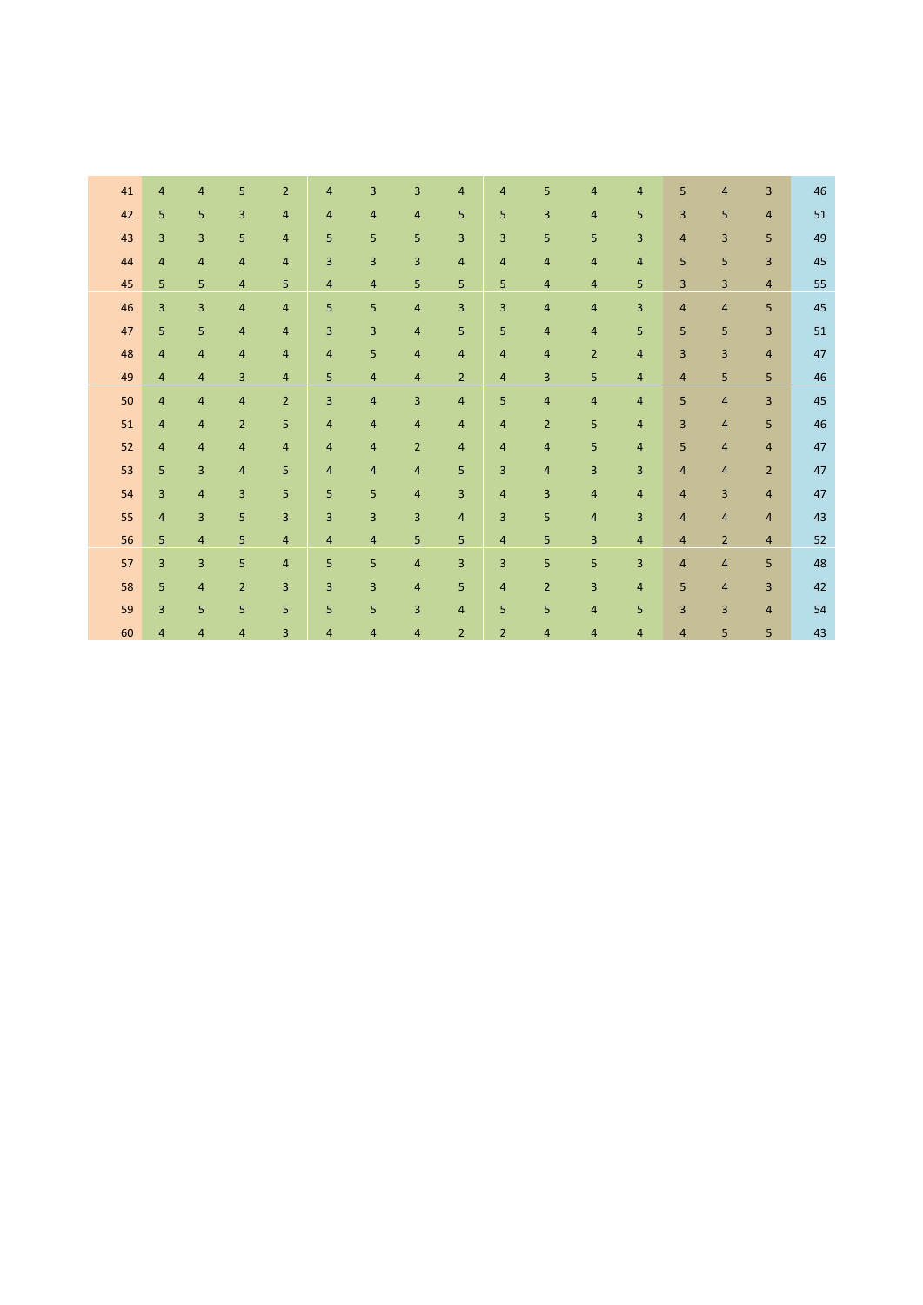| 41 | 4              | 4              | 5              | $\overline{2}$ | 4                       | 3              | 3              | 4              | $\overline{4}$ | 5              | 4              | 4              | 5              | 4              | 3              | 46 |
|----|----------------|----------------|----------------|----------------|-------------------------|----------------|----------------|----------------|----------------|----------------|----------------|----------------|----------------|----------------|----------------|----|
| 42 | 5              | 5              | 3              | $\overline{4}$ | $\overline{\mathbf{4}}$ | 4              | $\overline{4}$ | 5              | 5              | 3              | $\overline{4}$ | 5              | 3              | 5              | $\overline{4}$ | 51 |
| 43 | $\overline{3}$ | 3              | 5              | 4              | 5                       | 5              | 5              | 3              | $\overline{3}$ | 5              | 5              | 3              | $\overline{4}$ | $\overline{3}$ | 5              | 49 |
| 44 | 4              | 4              | $\overline{4}$ | $\overline{4}$ | 3                       | 3              | 3              | $\overline{4}$ | $\overline{4}$ | $\overline{4}$ | 4              | $\overline{4}$ | 5              | 5              | 3              | 45 |
| 45 | 5              | 5              | $\overline{4}$ | 5              | 4                       | $\overline{4}$ | 5              | 5              | 5              | $\overline{4}$ | $\overline{4}$ | 5              | 3              | 3              | $\overline{4}$ | 55 |
| 46 | $\overline{3}$ | 3              | $\overline{4}$ | $\overline{4}$ | 5                       | 5              | 4              | 3              | 3              | 4              | $\overline{4}$ | $\overline{3}$ | $\overline{4}$ | $\overline{4}$ | 5              | 45 |
| 47 | 5              | 5              | 4              | 4              | 3                       | $\overline{3}$ | $\overline{4}$ | 5              | 5              | $\overline{4}$ | 4              | 5              | 5              | 5              | 3              | 51 |
| 48 | $\overline{4}$ | 4              | $\overline{4}$ | $\overline{4}$ | 4                       | 5              | $\overline{4}$ | $\overline{4}$ | $\overline{4}$ | 4              | $\overline{2}$ | $\overline{4}$ | 3              | $\overline{3}$ | $\overline{4}$ | 47 |
| 49 | $\overline{4}$ | 4              | 3              | $\overline{4}$ | 5                       | $\overline{4}$ | $\overline{4}$ | $\overline{2}$ | 4              | 3              | 5              | $\overline{4}$ | 4              | 5              | 5              | 46 |
| 50 | $\overline{4}$ | $\overline{4}$ | 4              | $\overline{2}$ | 3                       | $\overline{4}$ | 3              | $\overline{4}$ | 5              | 4              | 4              | $\overline{4}$ | 5              | $\overline{4}$ | 3              | 45 |
| 51 | 4              | $\overline{4}$ | $\overline{2}$ | 5              | 4                       | $\overline{4}$ | $\overline{4}$ | $\overline{4}$ | $\overline{4}$ | $\overline{2}$ | 5              | $\overline{4}$ | 3              | $\overline{4}$ | 5              | 46 |
| 52 | 4              | 4              | $\overline{4}$ | $\overline{4}$ | $\overline{4}$          | $\overline{4}$ | $\overline{2}$ | 4              | $\overline{4}$ | $\overline{4}$ | 5              | $\overline{4}$ | 5              | 4              | $\overline{4}$ | 47 |
| 53 | 5              | 3              | $\overline{4}$ | 5              | 4                       | $\overline{4}$ | 4              | 5              | 3              | $\overline{4}$ | 3              | 3              | $\overline{4}$ | 4              | $\overline{2}$ | 47 |
| 54 | 3              | 4              | 3              | 5              | 5                       | 5              | $\overline{4}$ | 3              | $\overline{4}$ | 3              | $\overline{4}$ | $\overline{4}$ | $\overline{4}$ | 3              | $\overline{4}$ | 47 |
| 55 | 4              | 3              | 5              | 3              | 3                       | $\overline{3}$ | 3              | $\overline{4}$ | 3              | 5              | 4              | 3              | $\overline{4}$ | $\overline{4}$ | $\overline{4}$ | 43 |
| 56 | 5              | 4              | 5              | 4              | $\overline{a}$          | $\overline{4}$ | 5              | 5              | 4              | 5              | 3              | 4              | 4              | $\overline{2}$ | $\overline{4}$ | 52 |
| 57 | 3              | 3              | 5              | 4              | 5                       | 5              | 4              | 3              | 3              | 5              | 5              | 3              | 4              | 4              | 5              | 48 |
| 58 | 5              | 4              | $\overline{2}$ | 3              | 3                       | 3              | $\overline{4}$ | 5              | $\overline{4}$ | $\overline{2}$ | 3              | $\overline{4}$ | 5              | $\overline{4}$ | 3              | 42 |
| 59 | 3              | 5              | 5              | 5              | 5                       | 5              | 3              | $\overline{4}$ | 5              | 5              | $\overline{4}$ | 5              | 3              | 3              | $\overline{4}$ | 54 |
| 60 | $\overline{4}$ | 4              | 4              | 3              | 4                       | $\overline{4}$ | $\overline{4}$ | $\overline{2}$ | $\overline{2}$ | $\overline{4}$ | 4              | $\overline{4}$ | 4              | 5              | 5              | 43 |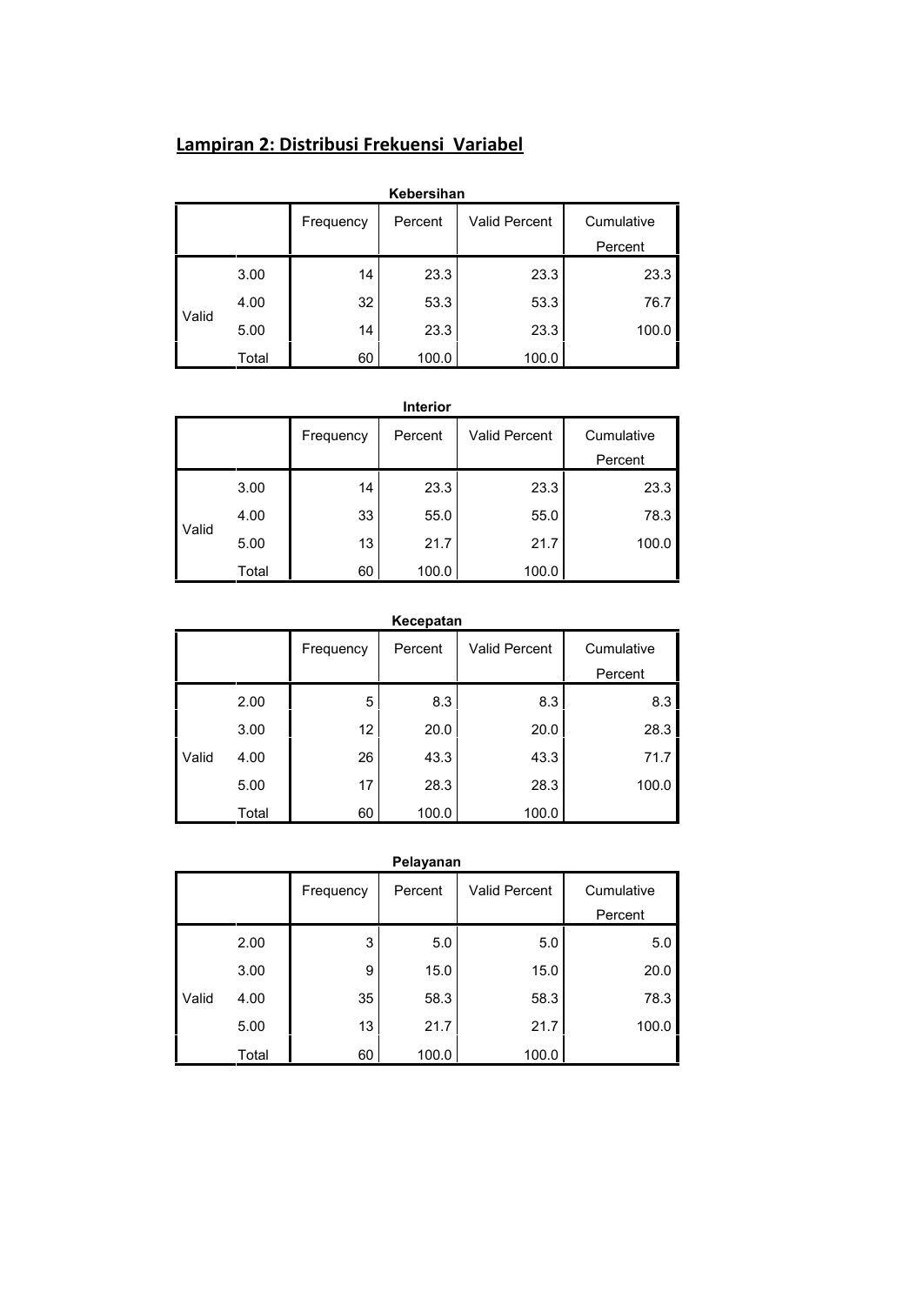# **Lampiran 2: Distribusi Frekuensi Variabel**

|       |       |           | Kebersihan |                      |            |  |
|-------|-------|-----------|------------|----------------------|------------|--|
|       |       | Frequency | Percent    | <b>Valid Percent</b> | Cumulative |  |
|       |       |           |            |                      | Percent    |  |
|       | 3.00  | 14        | 23.3       | 23.3                 | 23.3       |  |
| Valid | 4.00  | 32        | 53.3       | 53.3                 | 76.7       |  |
|       | 5.00  | 14        | 23.3       | 23.3                 | 100.0      |  |
|       | Total | 60        | 100.0      | 100.0                |            |  |

|       |       |           | Interior |                      |            |  |
|-------|-------|-----------|----------|----------------------|------------|--|
|       |       | Frequency | Percent  | <b>Valid Percent</b> | Cumulative |  |
|       |       |           |          |                      | Percent    |  |
|       | 3.00  | 14        | 23.3     | 23.3                 | 23.3       |  |
| Valid | 4.00  | 33        | 55.0     | 55.0                 | 78.3       |  |
|       | 5.00  | 13        | 21.7     | 21.7                 | 100.0      |  |
|       | Total | 60        | 100.0    | 100.0                |            |  |

|       |       |           | Kecepatan |                      |                       |  |
|-------|-------|-----------|-----------|----------------------|-----------------------|--|
|       |       | Frequency | Percent   | <b>Valid Percent</b> | Cumulative<br>Percent |  |
|       | 2.00  | 5         | 8.3       | 8.3                  | 8.3                   |  |
|       | 3.00  | 12        | 20.0      | 20.0                 | 28.3                  |  |
| Valid | 4.00  | 26        | 43.3      | 43.3                 | 71.7                  |  |
|       | 5.00  | 17        | 28.3      | 28.3                 | 100.0                 |  |
|       | Total | 60        | 100.0     | 100.0                |                       |  |

|       |       |           | Pelayanan |                      |            |  |
|-------|-------|-----------|-----------|----------------------|------------|--|
|       |       | Frequency | Percent   | <b>Valid Percent</b> | Cumulative |  |
|       |       |           |           |                      | Percent    |  |
|       | 2.00  | 3         | 5.0       | 5.0                  | 5.0        |  |
|       | 3.00  | 9         | 15.0      | 15.0                 | 20.0       |  |
| Valid | 4.00  | 35        | 58.3      | 58.3                 | 78.3       |  |
|       | 5.00  | 13        | 21.7      | 21.7                 | 100.0      |  |
|       | Total | 60        | 100.0     | 100.0                |            |  |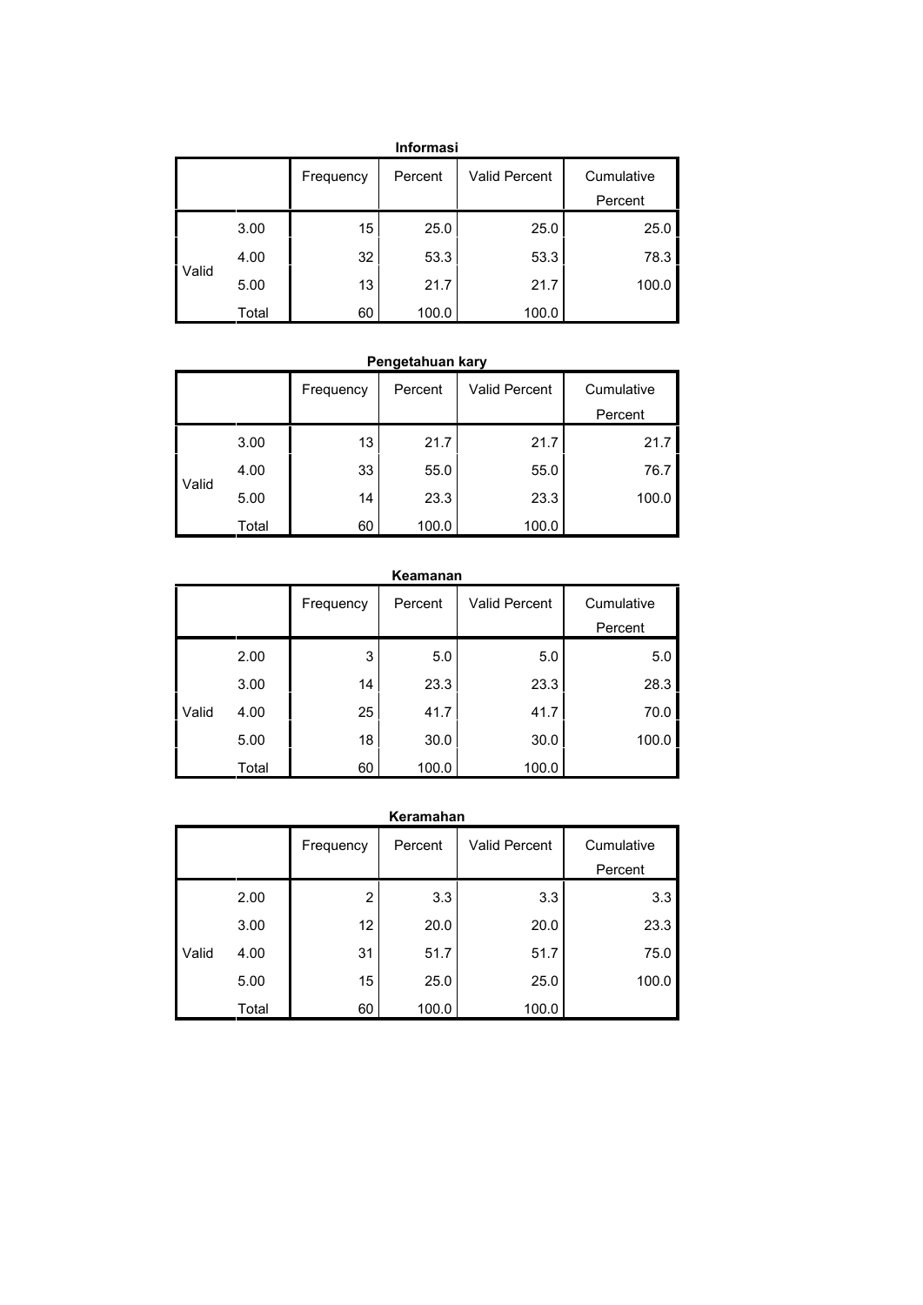|       |       |           | <b>Informasi</b> |                      |            |  |
|-------|-------|-----------|------------------|----------------------|------------|--|
|       |       | Frequency | Percent          | <b>Valid Percent</b> | Cumulative |  |
|       |       |           |                  |                      | Percent    |  |
|       | 3.00  | 15        | 25.0             | 25.0                 | 25.0       |  |
| Valid | 4.00  | 32        | 53.3             | 53.3                 | 78.3       |  |
|       | 5.00  | 13        | 21.7             | 21.7                 | 100.0      |  |
|       | Total | 60        | 100.0            | 100.0                |            |  |

## **Pengetahuan kary**

|       |       | Frequency | Percent | <b>Valid Percent</b> | Cumulative |  |
|-------|-------|-----------|---------|----------------------|------------|--|
|       |       |           |         |                      | Percent    |  |
|       | 3.00  | 13        | 21.7    | 21.7                 | 21.7       |  |
|       | 4.00  | 33        | 55.0    | 55.0                 | 76.7       |  |
| Valid | 5.00  | 14        | 23.3    | 23.3                 | 100.0      |  |
|       | Total | 60        | 100.0   | 100.0                |            |  |

|       |       |           | Keamanan |                      |                       |
|-------|-------|-----------|----------|----------------------|-----------------------|
|       |       | Frequency | Percent  | <b>Valid Percent</b> | Cumulative<br>Percent |
|       |       |           |          |                      |                       |
|       | 2.00  | 3         | 5.0      | 5.0                  | 5.0                   |
|       | 3.00  | 14        | 23.3     | 23.3                 | 28.3                  |
| Valid | 4.00  | 25        | 41.7     | 41.7                 | 70.0                  |
|       | 5.00  | 18        | 30.0     | 30.0                 | 100.0                 |
|       | Total | 60        | 100.0    | 100.0                |                       |

|       |       |                | Keramahan |                      |            |  |
|-------|-------|----------------|-----------|----------------------|------------|--|
|       |       | Frequency      | Percent   | <b>Valid Percent</b> | Cumulative |  |
|       |       |                |           |                      | Percent    |  |
|       | 2.00  | $\overline{2}$ | 3.3       | 3.3                  | 3.3        |  |
|       | 3.00  | 12             | 20.0      | 20.0                 | 23.3       |  |
| Valid | 4.00  | 31             | 51.7      | 51.7                 | 75.0       |  |
|       | 5.00  | 15             | 25.0      | 25.0                 | 100.0      |  |
|       | Total | 60             | 100.0     | 100.0                |            |  |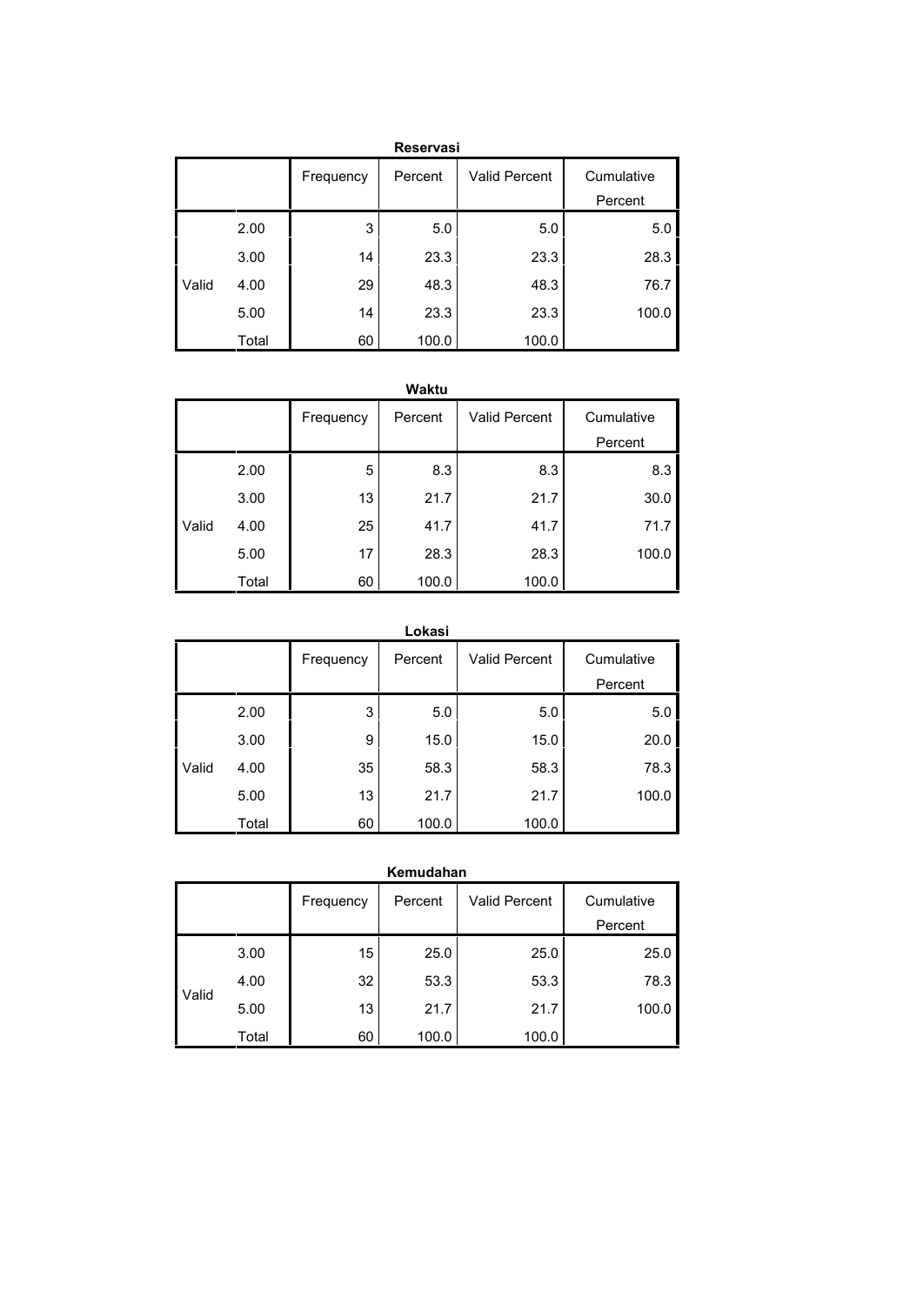|       |       |           | <b>Reservasi</b> |                      |            |  |
|-------|-------|-----------|------------------|----------------------|------------|--|
|       |       | Frequency | Percent          | <b>Valid Percent</b> | Cumulative |  |
|       |       |           |                  |                      | Percent    |  |
|       | 2.00  | 3         | 5.0              | 5.0                  | 5.0        |  |
|       | 3.00  | 14        | 23.3             | 23.3                 | 28.3       |  |
| Valid | 4.00  | 29        | 48.3             | 48.3                 | 76.7       |  |
|       | 5.00  | 14        | 23.3             | 23.3                 | 100.0      |  |
|       | Total | 60        | 100.0            | 100.0                |            |  |

|       |       |           | Waktu   |                      |            |  |
|-------|-------|-----------|---------|----------------------|------------|--|
|       |       | Frequency | Percent | <b>Valid Percent</b> | Cumulative |  |
|       |       |           |         |                      | Percent    |  |
|       | 2.00  | 5         | 8.3     | 8.3                  | 8.3        |  |
|       | 3.00  | 13        | 21.7    | 21.7                 | 30.0       |  |
| Valid | 4.00  | 25        | 41.7    | 41.7                 | 71.7       |  |
|       | 5.00  | 17        | 28.3    | 28.3                 | 100.0      |  |
|       | Total | 60        | 100.0   | 100.0                |            |  |

|       |       |           | Lokasi  |                      |            |  |
|-------|-------|-----------|---------|----------------------|------------|--|
|       |       | Frequency | Percent | <b>Valid Percent</b> | Cumulative |  |
|       |       |           |         |                      | Percent    |  |
|       | 2.00  | 3         | 5.0     | 5.0                  | 5.0        |  |
|       | 3.00  | 9         | 15.0    | 15.0                 | 20.0       |  |
| Valid | 4.00  | 35        | 58.3    | 58.3                 | 78.3       |  |
|       | 5.00  | 13        | 21.7    | 21.7                 | 100.0      |  |
|       | Total | 60        | 100.0   | 100.0                |            |  |

| Kemudahan |       |           |         |                      |            |  |  |  |
|-----------|-------|-----------|---------|----------------------|------------|--|--|--|
|           |       | Frequency | Percent | <b>Valid Percent</b> | Cumulative |  |  |  |
|           |       |           |         |                      | Percent    |  |  |  |
| Valid     | 3.00  | 15        | 25.0    | 25.0                 | 25.0       |  |  |  |
|           | 4.00  | 32        | 53.3    | 53.3                 | 78.3       |  |  |  |
|           | 5.00  | 13        | 21.7    | 21.7                 | 100.0      |  |  |  |
|           | Total | 60        | 100.0   | 100.0                |            |  |  |  |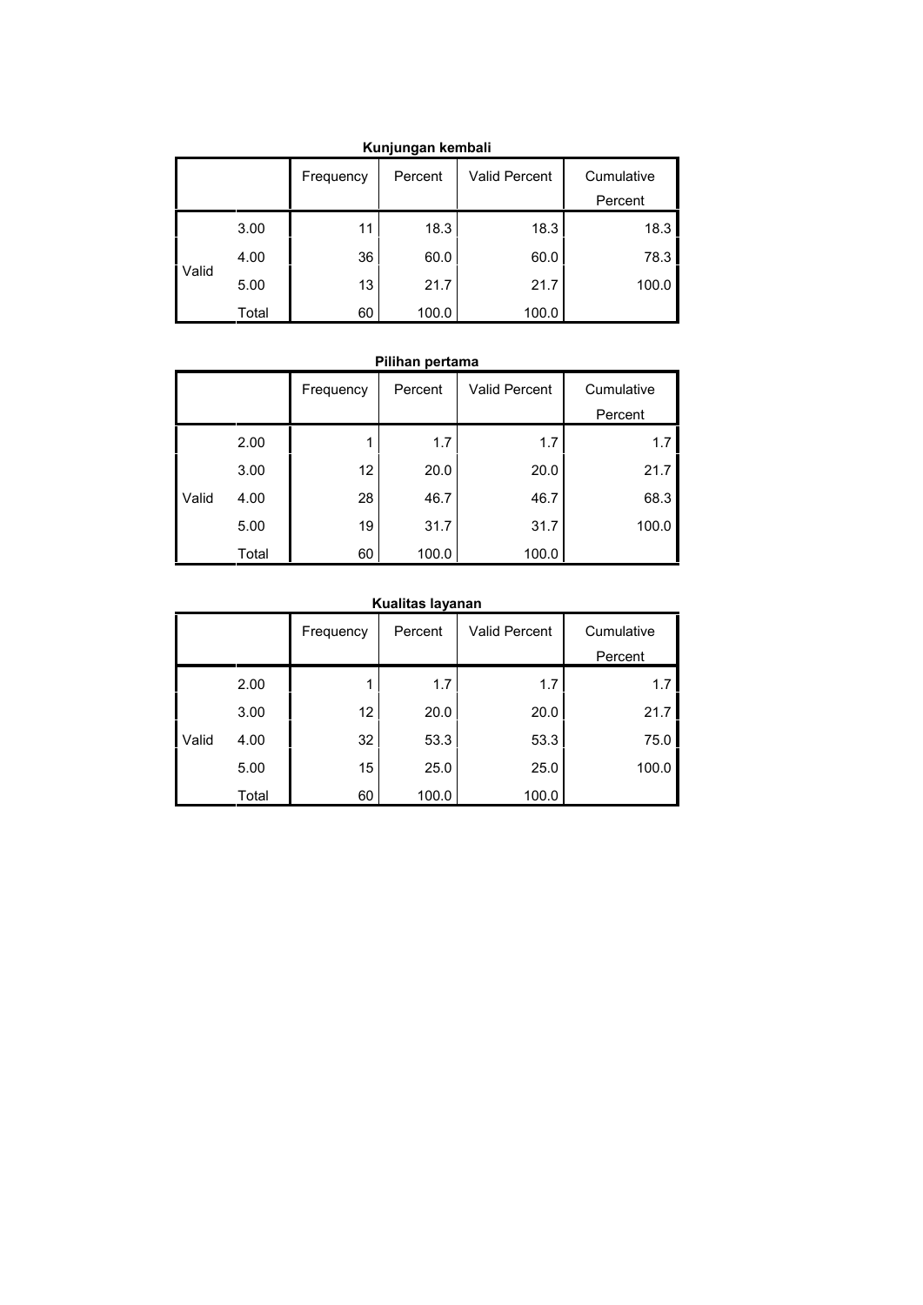| Kunjungan Kempan |       |           |         |                      |                       |  |  |  |
|------------------|-------|-----------|---------|----------------------|-----------------------|--|--|--|
|                  |       | Frequency | Percent | <b>Valid Percent</b> | Cumulative<br>Percent |  |  |  |
|                  |       |           |         |                      |                       |  |  |  |
| Valid            | 3.00  | 11        | 18.3    | 18.3                 | 18.3                  |  |  |  |
|                  | 4.00  | 36        | 60.0    | 60.0                 | 78.3                  |  |  |  |
|                  | 5.00  | 13        | 21.7    | 21.7                 | 100.0                 |  |  |  |
|                  | Total | 60        | 100.0   | 100.0                |                       |  |  |  |

# **Kunjungan kembali**

#### **Pilihan pertama**

|       |       | Frequency       | Percent | <b>Valid Percent</b> | Cumulative |
|-------|-------|-----------------|---------|----------------------|------------|
|       |       |                 |         |                      | Percent    |
|       | 2.00  |                 | 1.7     | 1.7                  | 1.7        |
|       | 3.00  | 12 <sup>2</sup> | 20.0    | 20.0                 | 21.7       |
| Valid | 4.00  | 28              | 46.7    | 46.7                 | 68.3       |
|       | 5.00  | 19              | 31.7    | 31.7                 | 100.0      |
|       | Total | 60              | 100.0   | 100.0                |            |

## **Kualitas layanan**

|       |       | Frequency | Percent | <b>Valid Percent</b> | Cumulative |
|-------|-------|-----------|---------|----------------------|------------|
|       |       |           |         |                      | Percent    |
|       | 2.00  |           | 1.7     | 1.7                  | 1.7        |
|       | 3.00  | 12        | 20.0    | 20.0                 | 21.7       |
| Valid | 4.00  | 32        | 53.3    | 53.3                 | 75.0       |
|       | 5.00  | 15        | 25.0    | 25.0                 | 100.0      |
|       | Total | 60        | 100.0   | 100.0                |            |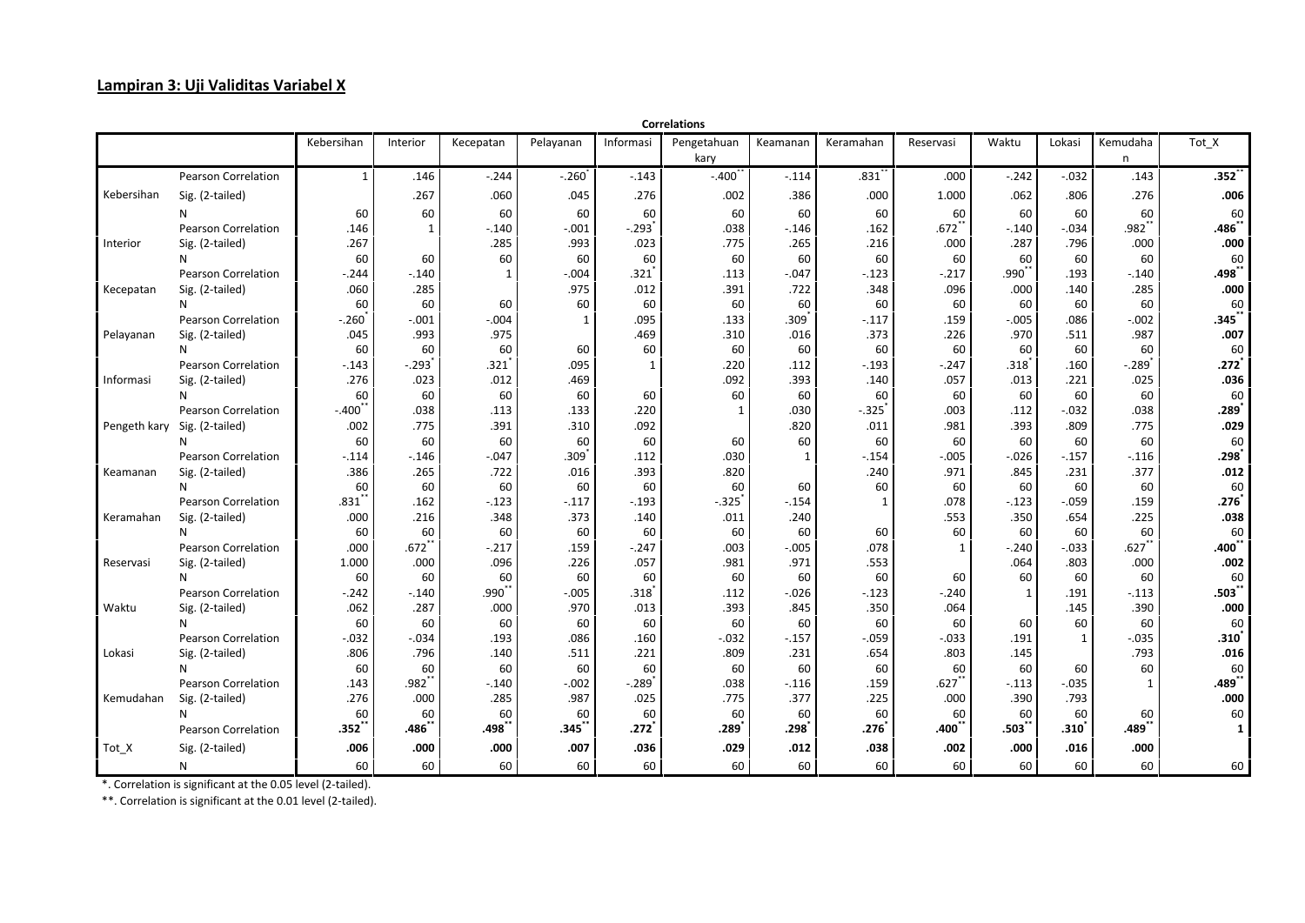## **Lampiran 3: Uji Validitas Variabel X**

|            |                              |                   |              |              |              |                      | <b>Correlations</b>  |                   |                     |                     |              |                   |                      |                        |
|------------|------------------------------|-------------------|--------------|--------------|--------------|----------------------|----------------------|-------------------|---------------------|---------------------|--------------|-------------------|----------------------|------------------------|
|            |                              | Kebersihan        | Interior     | Kecepatan    | Pelayanan    | Informasi            | Pengetahuan          | Keamanan          | Keramahan           | Reservasi           | Waktu        | Lokasi            | Kemudaha             | Tot_X                  |
|            |                              |                   |              |              |              |                      | kary                 |                   |                     |                     |              |                   | n                    |                        |
|            | <b>Pearson Correlation</b>   | $\mathbf{1}$      | .146         | $-.244$      | $-.260$      | $-.143$              | $-.400'$             | $-.114$           | $.831$ <sup>*</sup> | .000                | $-.242$      | $-0.032$          | .143                 | $.352$ <sup>*</sup>    |
| Kebersihan | Sig. (2-tailed)              |                   | .267         | .060         | .045         | .276                 | .002                 | .386              | .000                | 1.000               | .062         | .806              | .276                 | .006                   |
|            | N                            | 60                | 60           | 60           | 60           | 60                   | 60                   | 60                | 60                  | 60                  | 60           | 60                | 60                   | 60                     |
|            | <b>Pearson Correlation</b>   | .146              | $\mathbf{1}$ | $-.140$      | $-.001$      | $-.293$ <sup>*</sup> | .038                 | $-0.146$          | .162                | $.672$ <sup>*</sup> | $-.140$      | $-.034$           | $.982$ <sup>**</sup> | .486*                  |
| Interior   | Sig. (2-tailed)              | .267              |              | .285         | .993         | .023                 | .775                 | .265              | .216                | .000                | .287         | .796              | .000                 | .000                   |
|            | N                            | 60                | 60           | 60           | 60           | 60                   | 60                   | 60                | 60                  | 60                  | 60           | 60                | 60                   | 60                     |
|            | <b>Pearson Correlation</b>   | $-.244$           | $-.140$      | $\mathbf{1}$ | $-.004$      | .321                 | .113                 | $-.047$           | $-.123$             | $-.217$             | $.990^{*}$   | .193              | $-.140$              | $.498^{^{\ast}}$       |
| Kecepatan  | Sig. (2-tailed)              | .060              | .285         |              | .975         | .012                 | .391                 | .722              | .348                | .096                | .000         | .140              | .285                 | .000                   |
|            | N                            | 60                | 60           | 60           | 60           | 60                   | 60                   | 60                | 60                  | 60                  | 60           | 60                | 60                   | 60                     |
|            | <b>Pearson Correlation</b>   | $-.260$           | $-.001$      | $-0.004$     | $\mathbf{1}$ | .095                 | .133                 | .309 <sup>°</sup> | $-.117$             | .159                | $-.005$      | .086              | $-.002$              | .345*                  |
| Pelayanan  | Sig. (2-tailed)              | .045              | .993         | .975         |              | .469                 | .310                 | .016              | .373                | .226                | .970         | .511              | .987                 | .007                   |
|            | N                            | 60                | 60           | 60           | 60           | 60                   | 60                   | 60                | 60                  | 60                  | 60           | 60                | 60                   | 60                     |
|            | <b>Pearson Correlation</b>   | $-.143$           | $-.293$      | .321`        | .095         | $\mathbf{1}$         | .220                 | .112              | $-.193$             | $-.247$             | $.318^*$     | .160              | $-.289$              | .272                   |
| Informasi  | Sig. (2-tailed)              | .276              | .023         | .012         | .469         |                      | .092                 | .393              | .140                | .057                | .013         | .221              | .025                 | .036                   |
|            | N                            | 60                | 60           | 60           | 60           | 60                   | 60                   | 60                | 60                  | 60                  | 60           | 60                | 60                   | 60                     |
|            | <b>Pearson Correlation</b>   | $-.400"$          | .038         | .113         | .133         | .220                 | $\mathbf{1}$         | .030              | $-.325$             | .003                | .112         | $-.032$           | .038                 | .289                   |
|            | Pengeth kary Sig. (2-tailed) | .002              | .775         | .391         | .310         | .092                 |                      | .820              | .011                | .981                | .393         | .809              | .775                 | .029                   |
|            | N                            | 60                | 60           | 60           | 60           | 60                   | 60                   | 60                | 60                  | 60                  | 60           | 60                | 60                   | 60                     |
|            | <b>Pearson Correlation</b>   | $-.114$           | $-.146$      | $-.047$      | .309         | .112                 | .030                 | 1                 | $-.154$             | $-.005$             | $-.026$      | $-.157$           | $-.116$              | .298                   |
| Keamanan   | Sig. (2-tailed)              | .386              | .265         | .722         | .016         | .393                 | .820                 |                   | .240                | .971                | .845         | .231              | .377                 | .012                   |
|            | N                            | 60                | 60           | 60           | 60           | 60                   | 60                   | 60                | 60                  | 60                  | 60           | 60                | 60                   | 60                     |
|            | Pearson Correlation          | $.831$ **         | .162         | $-.123$      | $-.117$      | $-.193$              | $-.325$ <sup>*</sup> | $-0.154$          | $\mathbf{1}$        | .078                | $-.123$      | $-.059$           | .159                 | .276'                  |
| Keramahan  | Sig. (2-tailed)              | .000              | .216         | .348         | .373         | .140                 | .011                 | .240              |                     | .553                | .350         | .654              | .225                 | .038                   |
|            | N                            | 60                | 60           | 60           | 60           | 60                   | 60                   | 60                | 60                  | 60                  | 60           | 60                | 60                   | 60                     |
|            | <b>Pearson Correlation</b>   | .000              | $.672$ **    | $-.217$      | .159         | $-.247$              | .003                 | $-.005$           | .078                | $\mathbf{1}$        | $-.240$      | $-.033$           | $.627$ *             | .400                   |
| Reservasi  | Sig. (2-tailed)              | 1.000             | .000         | .096         | .226         | .057                 | .981                 | .971              | .553                |                     | .064         | .803              | .000                 | .002                   |
|            | N                            | 60                | 60           | 60           | 60           | 60                   | 60                   | 60                | 60                  | 60                  | 60           | 60                | 60                   | 60                     |
|            | Pearson Correlation          | $-.242$           | $-.140$      | .990**       | $-.005$      | $.318$ <sup>2</sup>  | .112                 | $-0.026$          | $-.123$             | $-.240$             | $\mathbf{1}$ | .191              | $-.113$              | .503                   |
| Waktu      | Sig. (2-tailed)              | .062              | .287         | .000         | .970         | .013                 | .393                 | .845              | .350                | .064                |              | .145              | .390                 | .000                   |
|            | N                            | 60                | 60           | 60           | 60           | 60                   | 60                   | 60                | 60                  | 60                  | 60           | 60                | 60                   | 60                     |
|            | <b>Pearson Correlation</b>   | $-0.032$          | $-.034$      | .193         | .086         | .160                 | $-.032$              | $-.157$           | $-.059$             | $-.033$             | .191         | $\mathbf{1}$      | $-.035$              | .310                   |
| Lokasi     | Sig. (2-tailed)              | .806              | .796         | .140         | .511         | .221                 | .809                 | .231              | .654                | .803                | .145         |                   | .793                 | .016                   |
|            | N                            | 60                | 60           | 60           | 60           | 60                   | 60                   | 60                | 60                  | 60                  | 60           | 60                | 60                   | 60                     |
|            | <b>Pearson Correlation</b>   | .143              | $.982$ **    | $-.140$      | $-.002$      | $-.289$              | .038                 | $-.116$           | .159                | .627                | $-.113$      | $-.035$           | $\mathbf{1}$         | .<br>489 <sup>**</sup> |
| Kemudahan  | Sig. (2-tailed)              | .276              | .000         | .285         | .987         | .025                 | .775                 | .377              | .225                | .000                | .390         | .793              |                      | .000                   |
|            | N                            | 60                | 60           | 60           | 60           | 60                   | 60                   | 60                | 60                  | 60                  | 60           | 60                | 60                   | 60                     |
|            | <b>Pearson Correlation</b>   | .352 <sup>°</sup> | .486゛        | .498         | .345         | .272                 | .289                 | .298              | .276                | .400                | .503         | .310 <sup>7</sup> | .489                 | $\mathbf{1}$           |
| Tot X      | Sig. (2-tailed)              | .006              | .000         | .000         | .007         | .036                 | .029                 | .012              | .038                | .002                | .000         | .016              | .000                 |                        |
|            | N                            | 60                | 60           | 60           | 60           | 60                   | 60                   | 60                | 60                  | 60                  | 60           | 60                | 60                   | 60                     |

\*. Correlation is significant at the 0.05 level (2-tailed).

\*\*. Correlation is significant at the 0.01 level (2-tailed).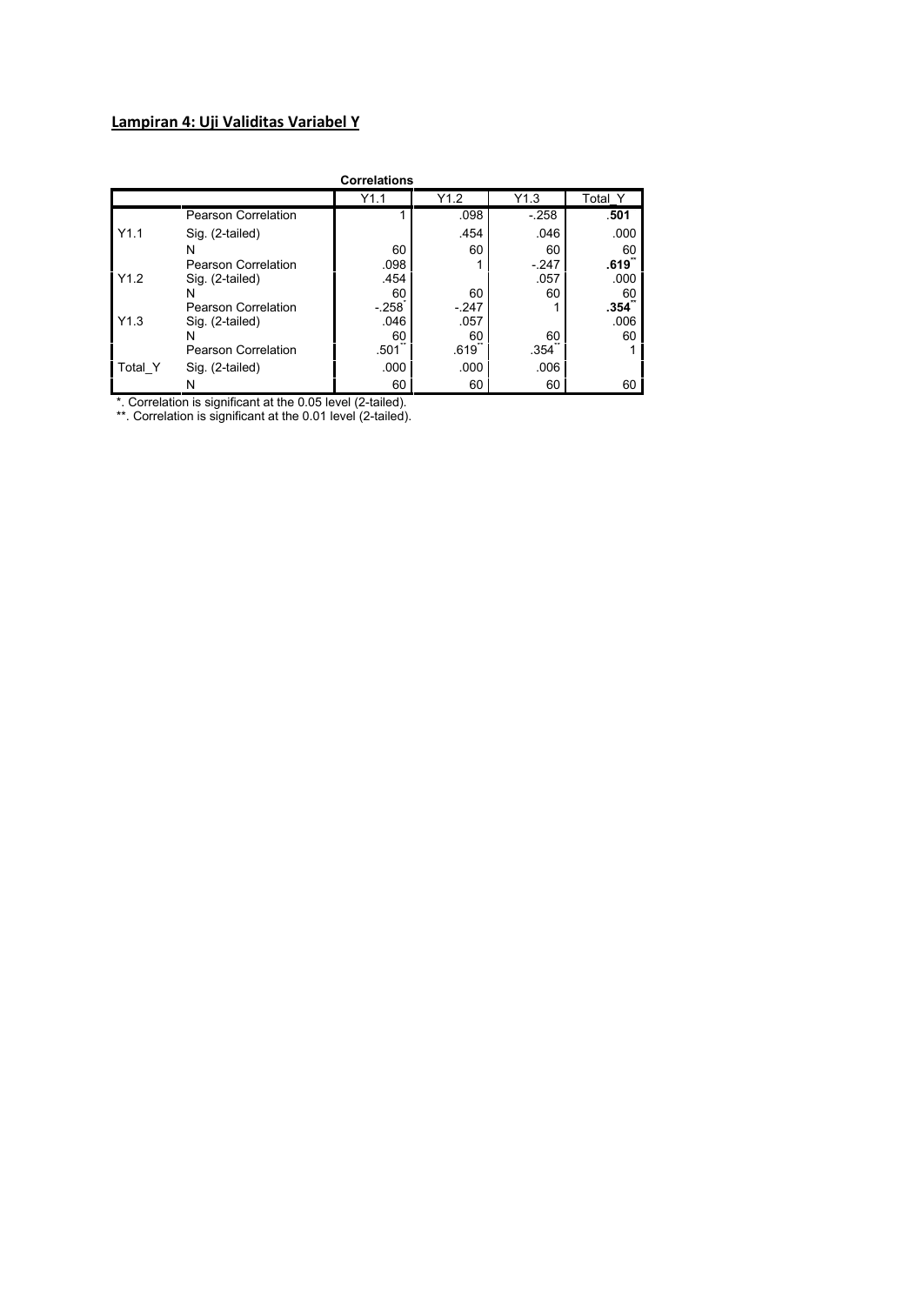# **Lampiran 4: Uji Validitas Variabel Y**

|         |                            | <b>Correlations</b> |                     |        |            |
|---------|----------------------------|---------------------|---------------------|--------|------------|
|         |                            | Y1.1                | Y1.2                | Y1.3   | Total Y    |
|         | Pearson Correlation        |                     | .098                | $-258$ | .501       |
| Y1.1    | Sig. (2-tailed)            |                     | .454                | .046   | .000       |
| Y1.2    | N                          | 60                  | 60                  | 60     | 60         |
|         | Pearson Correlation        | .098                |                     | $-247$ | .619       |
|         | Sig. (2-tailed)            | .454                |                     | .057   | .000       |
|         | N                          | 60                  | 60                  | 60     | 60<br>.354 |
|         | Pearson Correlation        | $-258$              | $-247$              |        |            |
| Y1.3    | Sig. (2-tailed)            | .046                | .057                |        | .006       |
|         | N                          | 60                  | 60                  | 60     | 60         |
|         | <b>Pearson Correlation</b> | .501                | $.619$ <sup>-</sup> | .354   |            |
| Total Y | Sig. (2-tailed)            | .000                | .000                | .006   |            |
|         | Ν                          | 60                  | 60                  | 60     | 60         |

\*. Correlation is significant at the 0.05 level (2-tailed).

\*\*. Correlation is significant at the 0.01 level (2-tailed).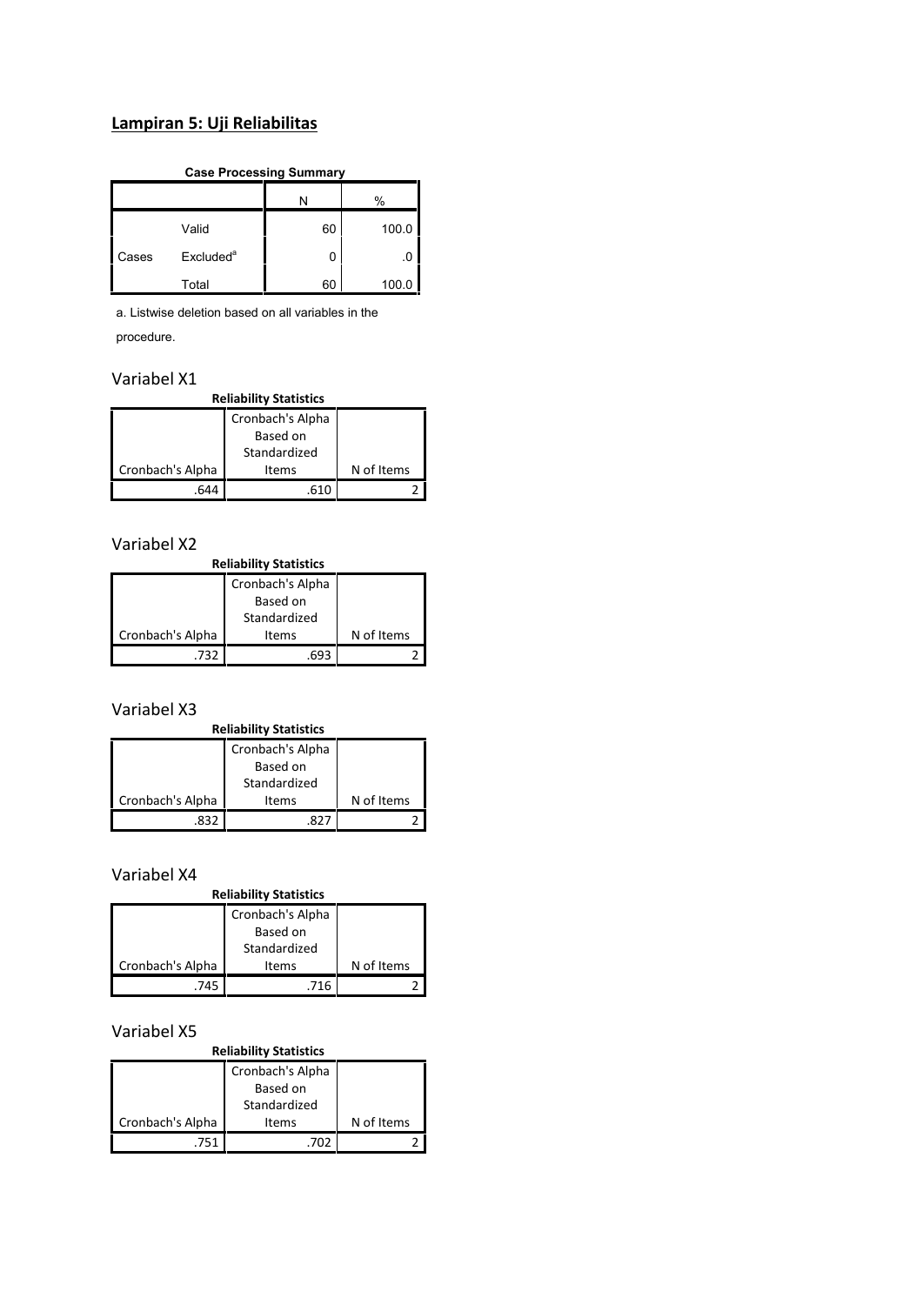# **Lampiran 5: Uji Reliabilitas**

#### **Case Processing Summary**

|       |                       |    | %     |
|-------|-----------------------|----|-------|
|       | Valid                 | 60 | 100.0 |
| Cases | Excluded <sup>a</sup> | 0  | .0    |
|       | Total                 | 60 | 100.0 |

a. Listwise deletion based on all variables in the procedure.

## Variabel X1

**Reliability Statistics**

|                  | Cronbach's Alpha |            |
|------------------|------------------|------------|
|                  | Based on         |            |
|                  | Standardized     |            |
| Cronbach's Alpha | Items            | N of Items |
|                  | 610              |            |

## Variabel X2

#### **Reliability Statistics**

|                  | Cronbach's Alpha |            |
|------------------|------------------|------------|
|                  | Based on         |            |
|                  | Standardized     |            |
| Cronbach's Alpha | <b>Items</b>     | N of Items |
| 732              | .693             |            |

## Variabel X3

#### **Reliability Statistics**

|                  | Cronbach's Alpha |            |
|------------------|------------------|------------|
|                  | Based on         |            |
|                  | Standardized     |            |
| Cronbach's Alpha | Items            | N of Items |
|                  |                  |            |

#### Variabel X4

## **Reliability Statistics** Cronbach's Alpha

|                  | Based on<br>Standardized |            |  |
|------------------|--------------------------|------------|--|
| Cronbach's Alpha | <b>Items</b>             | N of Items |  |
| 745              | 716                      |            |  |

## Variabel X5

#### **Reliability Statistics**

|                  | Cronbach's Alpha |            |  |
|------------------|------------------|------------|--|
|                  | Based on         |            |  |
|                  | Standardized     |            |  |
| Cronbach's Alpha | <b>Items</b>     | N of Items |  |
| 751              |                  |            |  |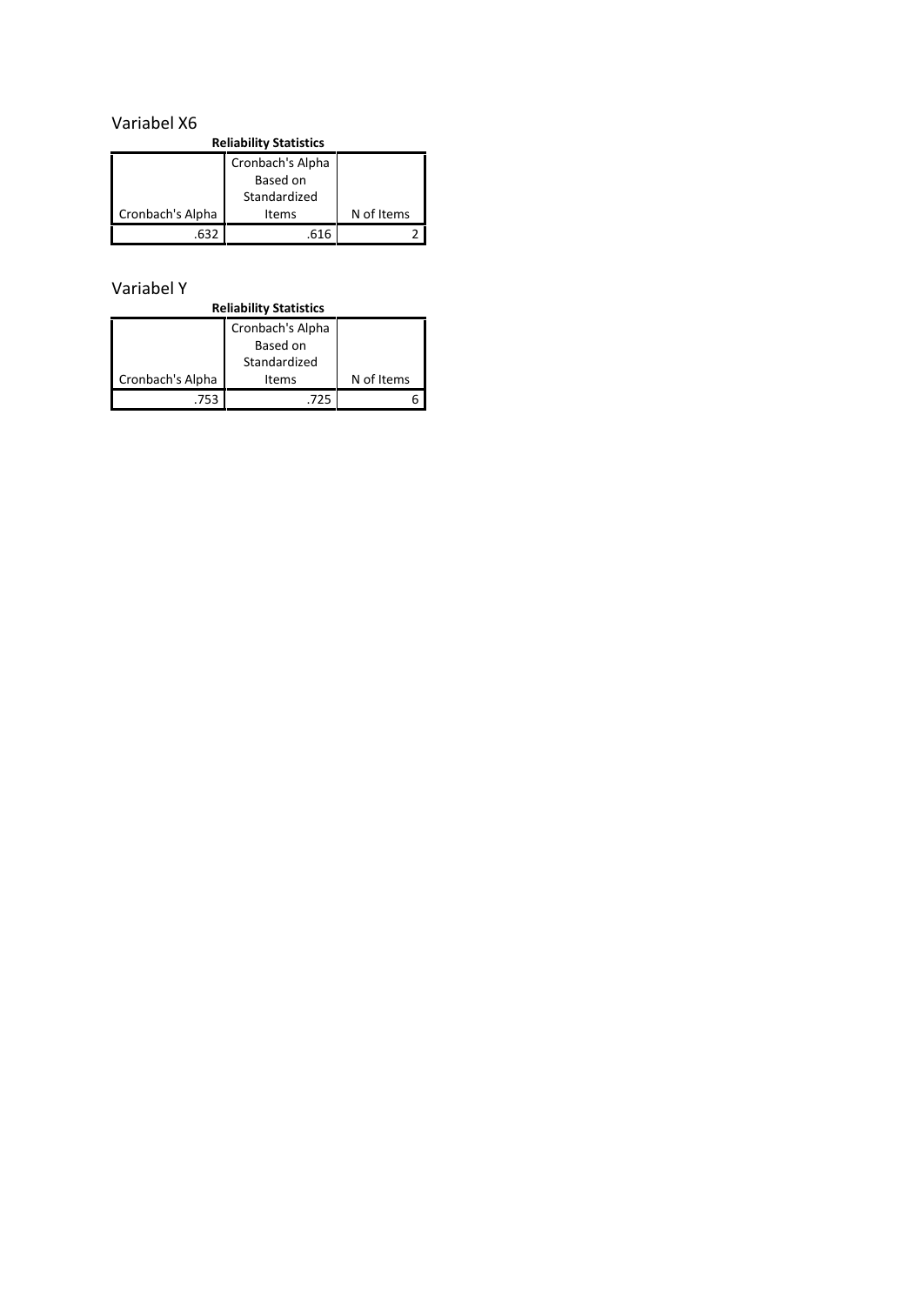## Variabel X6

| <b>Reliability Statistics</b> |                  |            |  |  |  |
|-------------------------------|------------------|------------|--|--|--|
|                               | Cronbach's Alpha |            |  |  |  |
|                               | Based on         |            |  |  |  |
|                               | Standardized     |            |  |  |  |
| Cronbach's Alpha              | <b>Items</b>     | N of Items |  |  |  |
|                               | .616             |            |  |  |  |

# Variabel Y

| <b>Reliability Statistics</b> |                  |            |  |  |  |
|-------------------------------|------------------|------------|--|--|--|
|                               | Cronbach's Alpha |            |  |  |  |
|                               | Based on         |            |  |  |  |
|                               | Standardized     |            |  |  |  |
| Cronbach's Alpha              | Items            | N of Items |  |  |  |
| 752                           | 725              |            |  |  |  |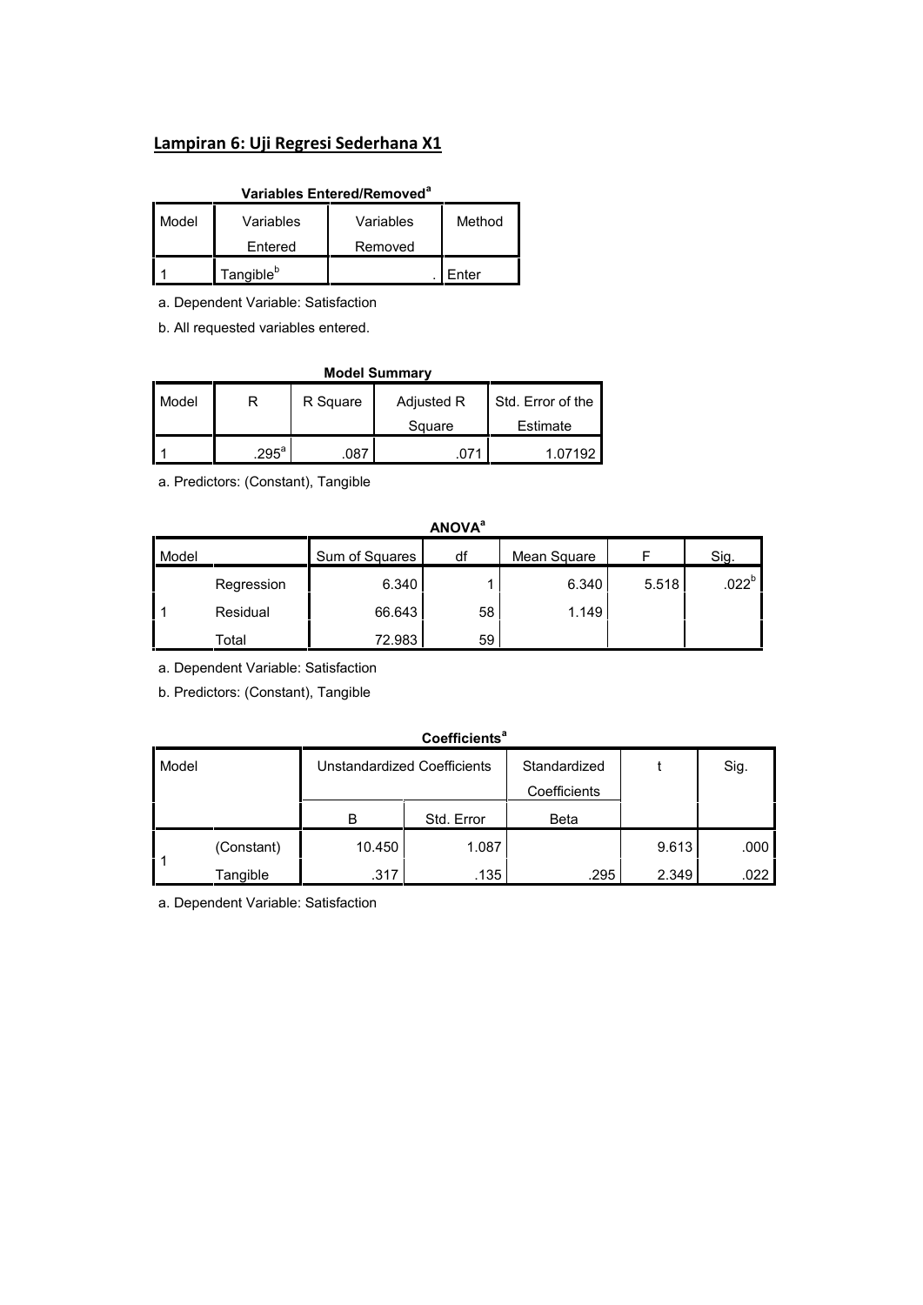## **Lampiran 6: Uji Regresi Sederhana X1**

## **Variables Entered/Removed<sup>a</sup>**

| Model | Variables             | Variables | Method |  |
|-------|-----------------------|-----------|--------|--|
|       | Entered               | Removed   |        |  |
|       | Tangible <sup>b</sup> |           | Enter  |  |

a. Dependent Variable: Satisfaction

b. All requested variables entered.

#### **Model Summary** Model R R R R R R R Adjusted R Square Std. Error of the Estimate 1 .295 $^{a}$ .087 .071 1.07192

a. Predictors: (Constant), Tangible

# **ANOVA<sup>a</sup>** Model Sum of Squares | df | Mean Square | F | Sig. 1 Residual | 66.643 | 58 | 1.149 | Regression 6.340 1 6.340 5.518 .022<sup>b</sup> Total **1** 72.983 59

a. Dependent Variable: Satisfaction

b. Predictors: (Constant), Tangible

## **Coefficients<sup>a</sup>** Model **Unstandardized Coefficients** Standardized t **Coefficients** Sig. B Std. Error Beta 1 (Constant) | 10.450 | 1.087 | 9.613 | .000 | Tangible **|** .317 .317 .295 .349 .022 .349 .022 .349 .022 .317 .023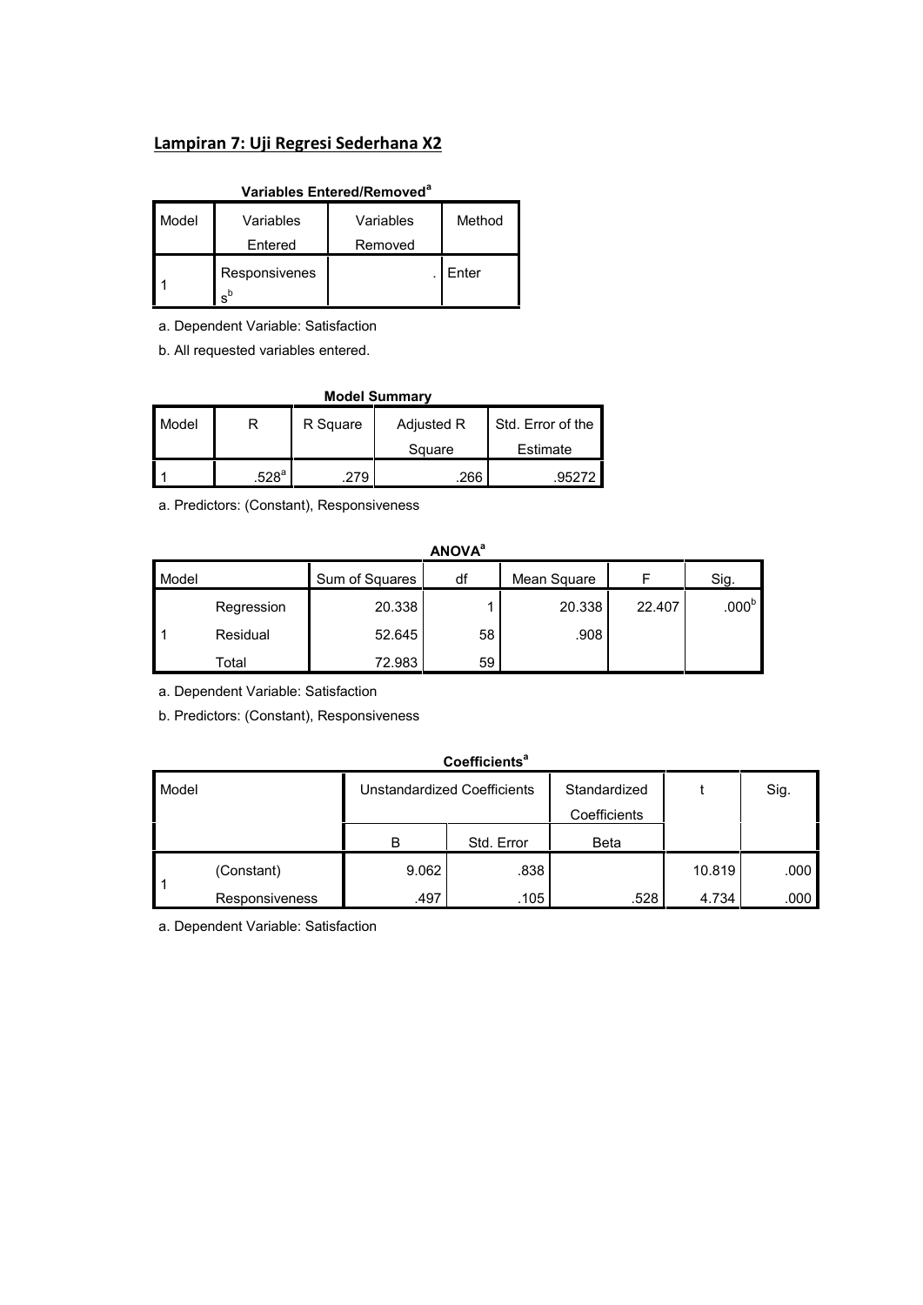## **Lampiran 7: Uji Regresi Sederhana X2**

## **Variables Entered/Removed<sup>a</sup>**

| Model | Variables              | Variables | Method |  |
|-------|------------------------|-----------|--------|--|
|       | Entered                | Removed   |        |  |
|       | Responsivenes<br>$s^b$ |           | Enter  |  |

a. Dependent Variable: Satisfaction

b. All requested variables entered.

| <b>Model Summary</b> |                   |                                             |               |          |  |  |  |
|----------------------|-------------------|---------------------------------------------|---------------|----------|--|--|--|
| Model                |                   | Std. Error of the<br>Adjusted R<br>R Square |               |          |  |  |  |
|                      |                   |                                             | Square        | Estimate |  |  |  |
|                      | .528 <sup>a</sup> | 279                                         | 266<br>.95272 |          |  |  |  |

a. Predictors: (Constant), Responsiveness

## **ANOVA<sup>a</sup>**

| Model |            | Sum of Squares | df | Mean Square |        | Sig.              |
|-------|------------|----------------|----|-------------|--------|-------------------|
|       | Regression | 20.338         |    | 20.338      | 22.407 | .000 <sup>b</sup> |
|       | Residual   | 52.645         | 58 | .908        |        |                   |
|       | Total      | 72.983         | 59 |             |        |                   |

a. Dependent Variable: Satisfaction

b. Predictors: (Constant), Responsiveness

#### **Coefficients<sup>a</sup>**

| Model |                       |       | Unstandardized Coefficients | Standardized<br>Coefficients |        | Sig. |
|-------|-----------------------|-------|-----------------------------|------------------------------|--------|------|
|       |                       | в     | Std. Error                  | Beta                         |        |      |
|       | (Constant)            | 9.062 | .838                        |                              | 10.819 | .000 |
|       | <b>Responsiveness</b> | .497  | .105                        | .528                         | 4.734  | .000 |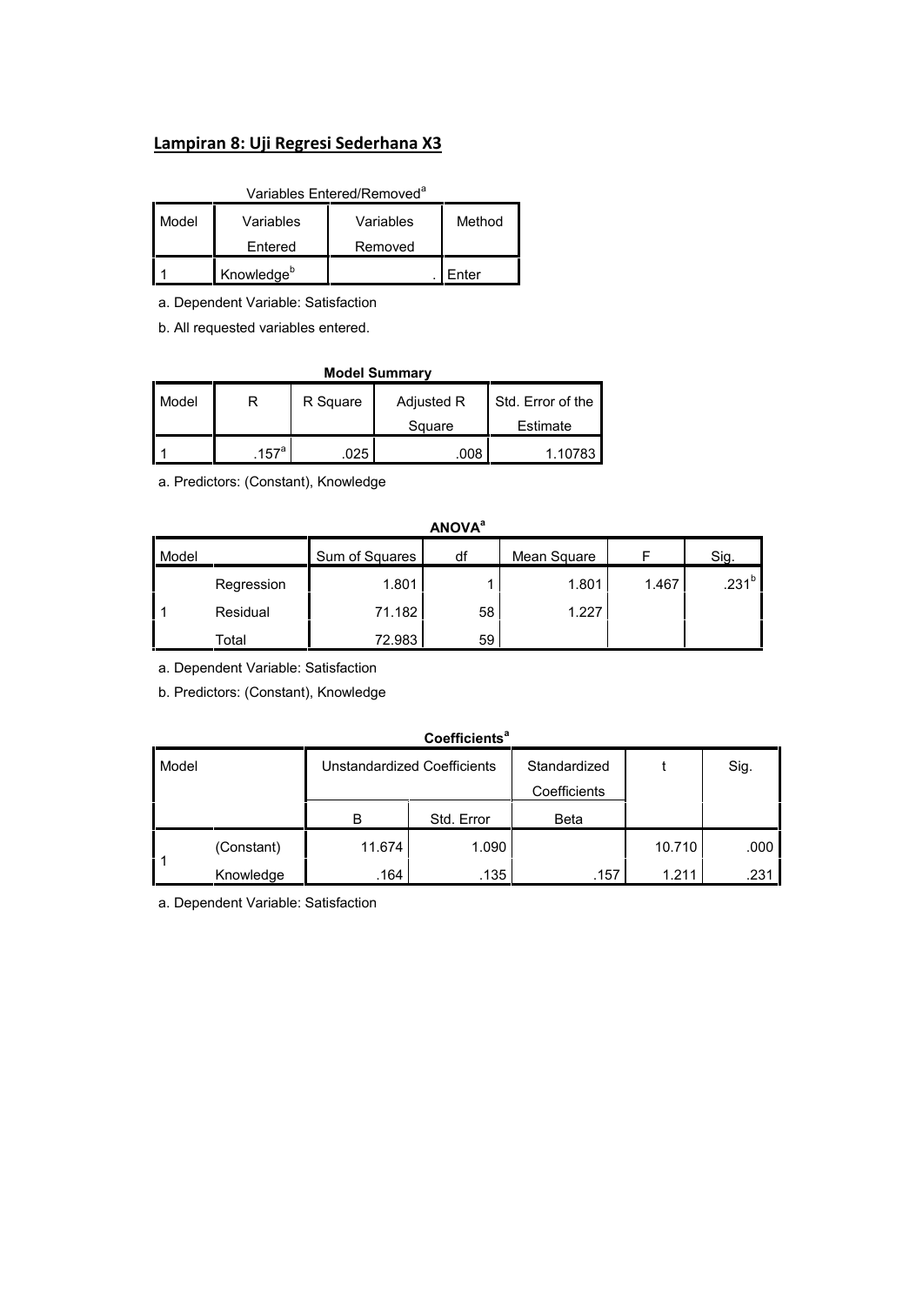## **Lampiran 8: Uji Regresi Sederhana X3**

| Variables Entered/Removed <sup>®</sup>  |           |           |        |  |  |  |
|-----------------------------------------|-----------|-----------|--------|--|--|--|
| l Model                                 | Variables | Variables | Method |  |  |  |
|                                         | Entered   | Removed   |        |  |  |  |
| Knowledge <sup>b</sup><br><i>E</i> nter |           |           |        |  |  |  |

a. Dependent Variable: Satisfaction

b. All requested variables entered.

| <b>Model Summary</b> |                  |                                             |        |          |  |  |  |
|----------------------|------------------|---------------------------------------------|--------|----------|--|--|--|
| Model                | R                | Std. Error of the<br>Adjusted R<br>R Square |        |          |  |  |  |
|                      |                  |                                             | Square | Estimate |  |  |  |
|                      | 157 <sup>a</sup> | 025                                         | .008   | 1.10783  |  |  |  |

a. Predictors: (Constant), Knowledge

|       |            |                | <b>ANOVA</b> <sup>a</sup> |             |       |                   |
|-------|------------|----------------|---------------------------|-------------|-------|-------------------|
| Model |            | Sum of Squares | df                        | Mean Square |       | Sig.              |
|       | Regression | 1.801          |                           | 1.801       | 1.467 | .231 <sup>b</sup> |
|       | Residual   | 71.182         | 58                        | 1.227       |       |                   |
|       | Total      | 72.983         | 59                        |             |       |                   |

a. Dependent Variable: Satisfaction

b. Predictors: (Constant), Knowledge

| <b>Coefficients<sup>a</sup></b> |            |                             |            |                              |        |      |  |  |
|---------------------------------|------------|-----------------------------|------------|------------------------------|--------|------|--|--|
| Model                           |            | Unstandardized Coefficients |            | Standardized<br>Coefficients |        | Sig. |  |  |
|                                 |            | B                           | Std. Error | <b>Beta</b>                  |        |      |  |  |
| l 1                             | (Constant) | 11.674                      | 1.090      |                              | 10.710 | .000 |  |  |
|                                 | Knowledge  | .164                        | .135       | .157                         | 1.211  | .231 |  |  |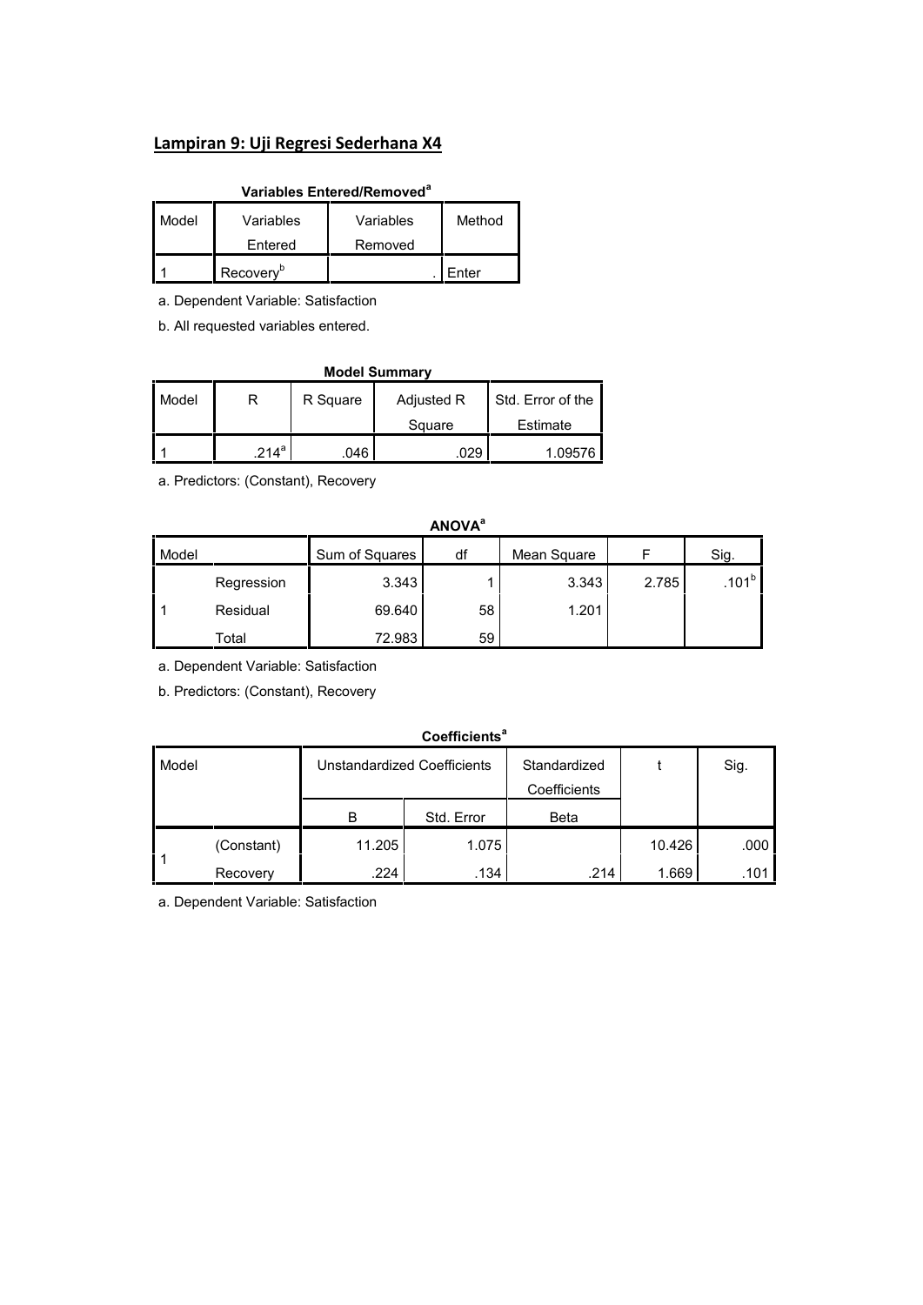## **Lampiran 9: Uji Regresi Sederhana X4**

## **Variables Entered/Removed<sup>a</sup>**

| Model | Variables             | Variables | Method |  |
|-------|-----------------------|-----------|--------|--|
|       | Entered               | Removed   |        |  |
|       | Recovery <sup>b</sup> |           | Enter  |  |

a. Dependent Variable: Satisfaction

b. All requested variables entered.

| <b>Model Summary</b> |         |                                             |        |          |  |  |  |  |  |
|----------------------|---------|---------------------------------------------|--------|----------|--|--|--|--|--|
| Model                | R       | Std. Error of the<br>Adjusted R<br>R Square |        |          |  |  |  |  |  |
|                      |         |                                             | Square | Estimate |  |  |  |  |  |
|                      | $214^a$ | 046                                         | 029    | 1.09576  |  |  |  |  |  |

a. Predictors: (Constant), Recovery

|       |            |                | <b>ANOVA</b> <sup>a</sup> |             |       |                   |
|-------|------------|----------------|---------------------------|-------------|-------|-------------------|
| Model |            | Sum of Squares | df                        | Mean Square |       | Sig.              |
|       | Regression | 3.343          |                           | 3.343       | 2.785 | .101 <sup>b</sup> |
|       | Residual   | 69.640         | 58                        | 1.201       |       |                   |
|       | Total      | 72.983         | 59                        |             |       |                   |

a. Dependent Variable: Satisfaction

b. Predictors: (Constant), Recovery

#### **Coefficients<sup>a</sup>**

| Model |            | Unstandardized Coefficients |            | Standardized |        | Sig.              |  |  |  |
|-------|------------|-----------------------------|------------|--------------|--------|-------------------|--|--|--|
|       |            |                             |            | Coefficients |        |                   |  |  |  |
|       |            | В                           | Std. Error | Beta         |        |                   |  |  |  |
|       | (Constant) | 11.205                      | 1.075      |              | 10.426 | .000 <sub>1</sub> |  |  |  |
|       | Recovery   | .224                        | .134       | .214         | 1.669  | .101              |  |  |  |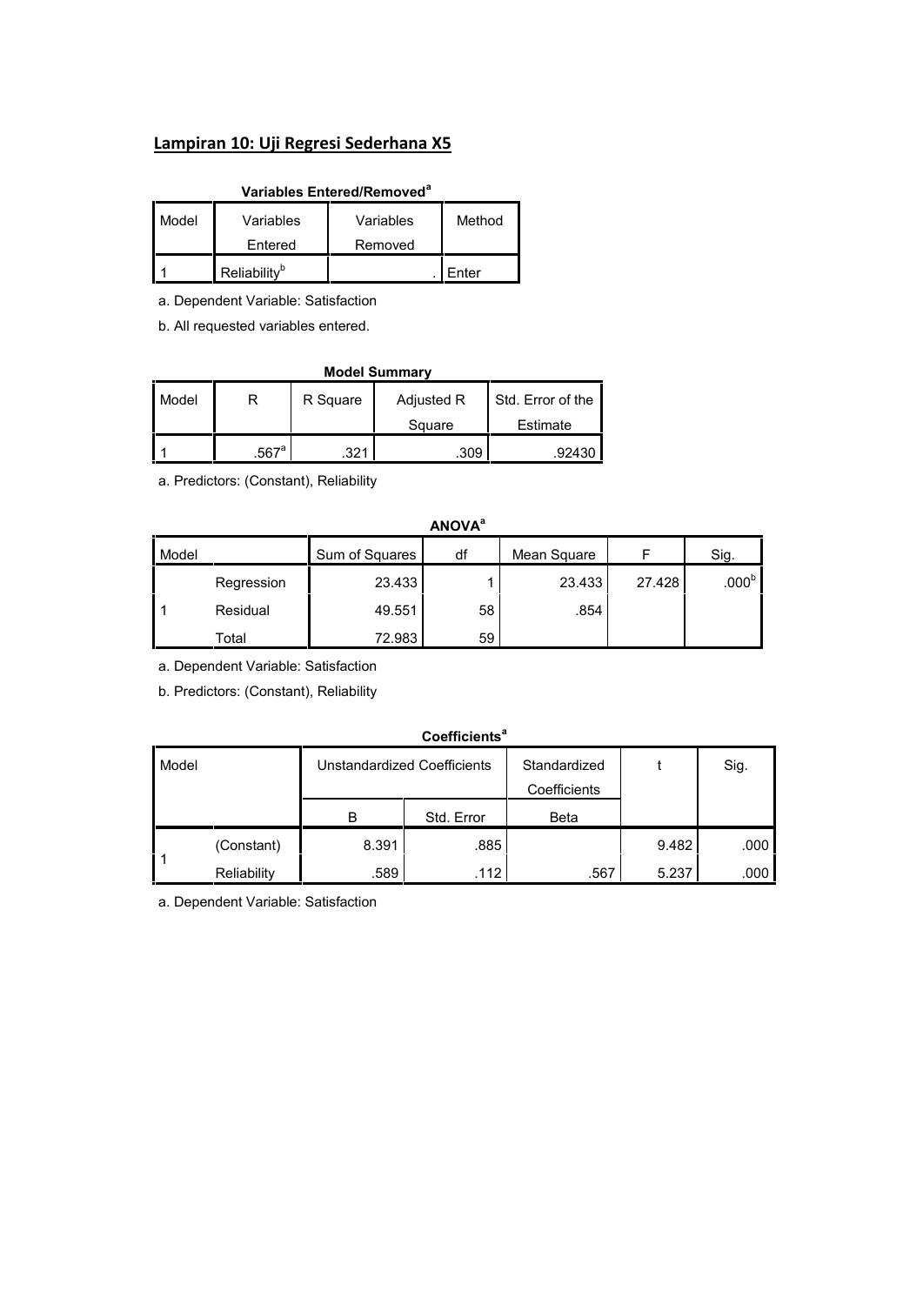## **Lampiran 10: Uji Regresi Sederhana X5**

## **Variables Entered/Removed<sup>a</sup>**

| Model | Variables                | Variables | Method |  |
|-------|--------------------------|-----------|--------|--|
|       | Entered                  | Removed   |        |  |
|       | Reliability <sup>b</sup> |           | Enter  |  |

a. Dependent Variable: Satisfaction

b. All requested variables entered.

| <b>Model Summary</b> |                                                  |      |        |          |  |  |  |  |  |  |
|----------------------|--------------------------------------------------|------|--------|----------|--|--|--|--|--|--|
| Model                | Std. Error of the<br>Adjusted R<br>R Square<br>R |      |        |          |  |  |  |  |  |  |
|                      |                                                  |      | Square | Estimate |  |  |  |  |  |  |
|                      | $.567$ <sup>a</sup>                              | .321 | .309   | .92430   |  |  |  |  |  |  |

a. Predictors: (Constant), Reliability

|       | <b>ANOVA</b> <sup>a</sup> |                |    |             |        |                   |  |  |  |
|-------|---------------------------|----------------|----|-------------|--------|-------------------|--|--|--|
| Model |                           | Sum of Squares | df | Mean Square |        | Sig.              |  |  |  |
|       | Regression                | 23.433         |    | 23.433      | 27.428 | .000 <sup>b</sup> |  |  |  |
|       | Residual                  | 49.551         | 58 | .854        |        |                   |  |  |  |
|       | Total                     | 72.983         | 59 |             |        |                   |  |  |  |

a. Dependent Variable: Satisfaction

b. Predictors: (Constant), Reliability

#### **Coefficients<sup>a</sup>**

| Model |             |       | Unstandardized Coefficients | Standardized<br>Coefficients |       | Sig.              |  |  |  |  |
|-------|-------------|-------|-----------------------------|------------------------------|-------|-------------------|--|--|--|--|
|       |             | B     | Std. Error                  | Beta                         |       |                   |  |  |  |  |
|       |             |       |                             |                              |       |                   |  |  |  |  |
|       | (Constant)  | 8.391 | .885                        |                              | 9.482 | .000 <sub>1</sub> |  |  |  |  |
|       | Reliability | .589  | .112                        | .567                         | 5.237 | .000              |  |  |  |  |